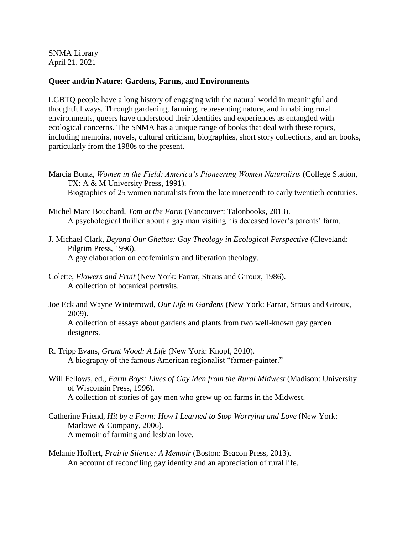SNMA Library April 21, 2021

## **Queer and/in Nature: Gardens, Farms, and Environments**

LGBTQ people have a long history of engaging with the natural world in meaningful and thoughtful ways. Through gardening, farming, representing nature, and inhabiting rural environments, queers have understood their identities and experiences as entangled with ecological concerns. The SNMA has a unique range of books that deal with these topics, including memoirs, novels, cultural criticism, biographies, short story collections, and art books, particularly from the 1980s to the present.

- Marcia Bonta, *Women in the Field: America's Pioneering Women Naturalists* (College Station, TX: A & M University Press, 1991). Biographies of 25 women naturalists from the late nineteenth to early twentieth centuries.
- Michel Marc Bouchard, *Tom at the Farm* (Vancouver: Talonbooks, 2013). A psychological thriller about a gay man visiting his deceased lover's parents' farm.
- J. Michael Clark, *Beyond Our Ghettos: Gay Theology in Ecological Perspective* (Cleveland: Pilgrim Press, 1996). A gay elaboration on ecofeminism and liberation theology.
- Colette, *Flowers and Fruit* (New York: Farrar, Straus and Giroux, 1986). A collection of botanical portraits.
- Joe Eck and Wayne Winterrowd, *Our Life in Gardens* (New York: Farrar, Straus and Giroux, 2009).

A collection of essays about gardens and plants from two well-known gay garden designers.

- R. Tripp Evans, *Grant Wood: A Life* (New York: Knopf, 2010). A biography of the famous American regionalist "farmer-painter."
- Will Fellows, ed., *Farm Boys: Lives of Gay Men from the Rural Midwest* (Madison: University of Wisconsin Press, 1996). A collection of stories of gay men who grew up on farms in the Midwest.
- Catherine Friend, *Hit by a Farm: How I Learned to Stop Worrying and Love* (New York: Marlowe & Company, 2006). A memoir of farming and lesbian love.
- Melanie Hoffert, *Prairie Silence: A Memoir* (Boston: Beacon Press, 2013). An account of reconciling gay identity and an appreciation of rural life.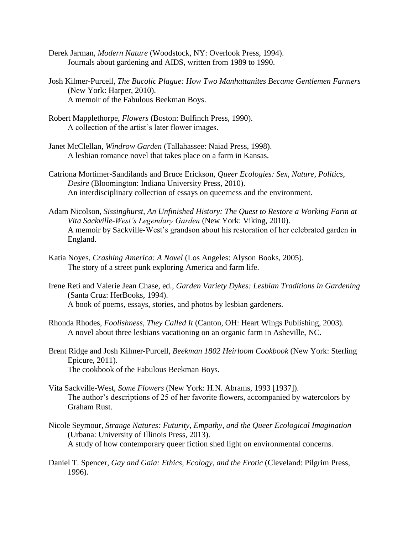- Derek Jarman, *Modern Nature* (Woodstock, NY: Overlook Press, 1994). Journals about gardening and AIDS, written from 1989 to 1990.
- Josh Kilmer-Purcell, *The Bucolic Plague: How Two Manhattanites Became Gentlemen Farmers* (New York: Harper, 2010). A memoir of the Fabulous Beekman Boys.
- Robert Mapplethorpe, *Flowers* (Boston: Bulfinch Press, 1990). A collection of the artist's later flower images.
- Janet McClellan, *Windrow Garden* (Tallahassee: Naiad Press, 1998). A lesbian romance novel that takes place on a farm in Kansas.
- Catriona Mortimer-Sandilands and Bruce Erickson, *Queer Ecologies: Sex, Nature, Politics, Desire* (Bloomington: Indiana University Press, 2010). An interdisciplinary collection of essays on queerness and the environment.
- Adam Nicolson, *Sissinghurst, An Unfinished History: The Quest to Restore a Working Farm at Vita Sackville-West's Legendary Garden* (New York: Viking, 2010). A memoir by Sackville-West's grandson about his restoration of her celebrated garden in England.
- Katia Noyes, *Crashing America: A Novel* (Los Angeles: Alyson Books, 2005). The story of a street punk exploring America and farm life.
- Irene Reti and Valerie Jean Chase, ed., *Garden Variety Dykes: Lesbian Traditions in Gardening*  (Santa Cruz: HerBooks, 1994). A book of poems, essays, stories, and photos by lesbian gardeners.
- Rhonda Rhodes, *Foolishness, They Called It* (Canton, OH: Heart Wings Publishing, 2003). A novel about three lesbians vacationing on an organic farm in Asheville, NC.
- Brent Ridge and Josh Kilmer-Purcell, *Beekman 1802 Heirloom Cookbook* (New York: Sterling Epicure, 2011). The cookbook of the Fabulous Beekman Boys.
- Vita Sackville-West, *Some Flowers* (New York: H.N. Abrams, 1993 [1937]). The author's descriptions of 25 of her favorite flowers, accompanied by watercolors by Graham Rust.
- Nicole Seymour, *Strange Natures: Futurity, Empathy, and the Queer Ecological Imagination*  (Urbana: University of Illinois Press, 2013). A study of how contemporary queer fiction shed light on environmental concerns.
- Daniel T. Spencer, *Gay and Gaia: Ethics, Ecology, and the Erotic* (Cleveland: Pilgrim Press, 1996).